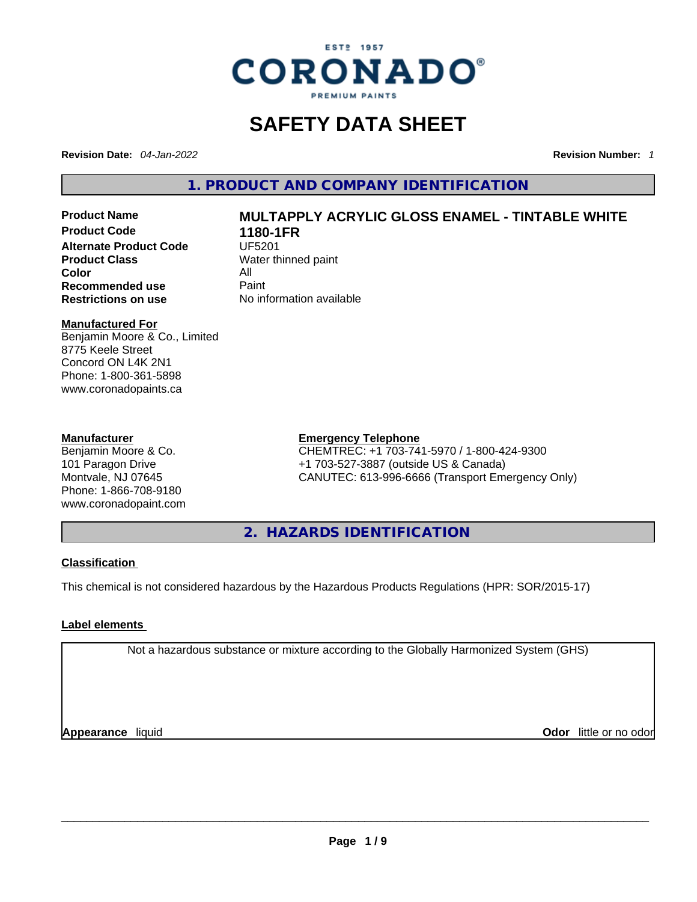

# **SAFETY DATA SHEET**

**Revision Date:** *04-Jan-2022* **Revision Number:** *1*

**1. PRODUCT AND COMPANY IDENTIFICATION** 

**Product Code 1180-1FR Alternate Product Code CODE UF5201 Product Class Water thinned paint**<br> **Color Color** All **Recommended use** Paint<br> **Restrictions on use** Mo information available **Restrictions** on use

# **Product Name MULTAPPLY ACRYLIC GLOSS ENAMEL - TINTABLE WHITE**

# **Manufactured For**

Benjamin Moore & Co., Limited 8775 Keele Street Concord ON L4K 2N1 Phone: 1-800-361-5898 www.coronadopaints.ca

# **Manufacturer**

Benjamin Moore & Co. 101 Paragon Drive Montvale, NJ 07645 Phone: 1-866-708-9180 www.coronadopaint.com

# **Emergency Telephone**

CHEMTREC: +1 703-741-5970 / 1-800-424-9300 +1 703-527-3887 (outside US & Canada) CANUTEC: 613-996-6666 (Transport Emergency Only)

**2. HAZARDS IDENTIFICATION** 

# **Classification**

This chemical is not considered hazardous by the Hazardous Products Regulations (HPR: SOR/2015-17)

# **Label elements**

Not a hazardous substance or mixture according to the Globally Harmonized System (GHS)

**Appearance** liquid **Odor** little or no odor<br> **Appearance** liquid<br> **Odor** little or no odor **Odor** little or no odor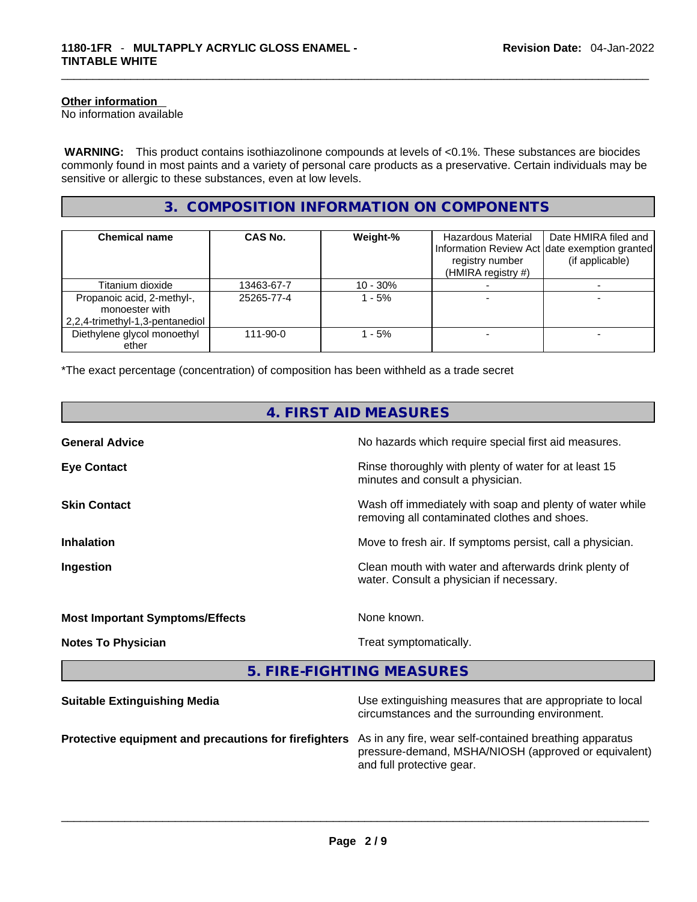# **Other information**

No information available

 **WARNING:** This product contains isothiazolinone compounds at levels of <0.1%. These substances are biocides commonly found in most paints and a variety of personal care products as a preservative. Certain individuals may be sensitive or allergic to these substances, even at low levels.

# **3. COMPOSITION INFORMATION ON COMPONENTS**

| <b>Chemical name</b>                                                            | CAS No.    | Weight-%   | Hazardous Material<br>registry number<br>(HMIRA registry #) | Date HMIRA filed and<br>Information Review Act date exemption granted<br>(if applicable) |
|---------------------------------------------------------------------------------|------------|------------|-------------------------------------------------------------|------------------------------------------------------------------------------------------|
| Titanium dioxide                                                                | 13463-67-7 | $10 - 30%$ |                                                             |                                                                                          |
| Propanoic acid, 2-methyl-,<br>monoester with<br>2,2,4-trimethyl-1,3-pentanediol | 25265-77-4 | l - 5%     |                                                             |                                                                                          |
| Diethylene glycol monoethyl<br>ether                                            | 111-90-0   | $-5%$      |                                                             |                                                                                          |

\*The exact percentage (concentration) of composition has been withheld as a trade secret

| 4. FIRST AID MEASURES                                 |                                                                                                                 |  |  |  |
|-------------------------------------------------------|-----------------------------------------------------------------------------------------------------------------|--|--|--|
| <b>General Advice</b>                                 | No hazards which require special first aid measures.                                                            |  |  |  |
| <b>Eye Contact</b>                                    | Rinse thoroughly with plenty of water for at least 15<br>minutes and consult a physician.                       |  |  |  |
| <b>Skin Contact</b>                                   | Wash off immediately with soap and plenty of water while<br>removing all contaminated clothes and shoes.        |  |  |  |
| <b>Inhalation</b>                                     | Move to fresh air. If symptoms persist, call a physician.                                                       |  |  |  |
| Ingestion                                             | Clean mouth with water and afterwards drink plenty of<br>water. Consult a physician if necessary.               |  |  |  |
| <b>Most Important Symptoms/Effects</b>                | None known.                                                                                                     |  |  |  |
| <b>Notes To Physician</b>                             | Treat symptomatically.                                                                                          |  |  |  |
|                                                       | 5. FIRE-FIGHTING MEASURES                                                                                       |  |  |  |
| <b>Suitable Extinguishing Media</b>                   | Use extinguishing measures that are appropriate to local<br>circumstances and the surrounding environment.      |  |  |  |
| Protective equipment and precautions for firefighters | As in any fire, wear self-contained breathing apparatus<br>pressure-demand, MSHA/NIOSH (approved or equivalent) |  |  |  |

and full protective gear. \_\_\_\_\_\_\_\_\_\_\_\_\_\_\_\_\_\_\_\_\_\_\_\_\_\_\_\_\_\_\_\_\_\_\_\_\_\_\_\_\_\_\_\_\_\_\_\_\_\_\_\_\_\_\_\_\_\_\_\_\_\_\_\_\_\_\_\_\_\_\_\_\_\_\_\_\_\_\_\_\_\_\_\_\_\_\_\_\_\_\_\_\_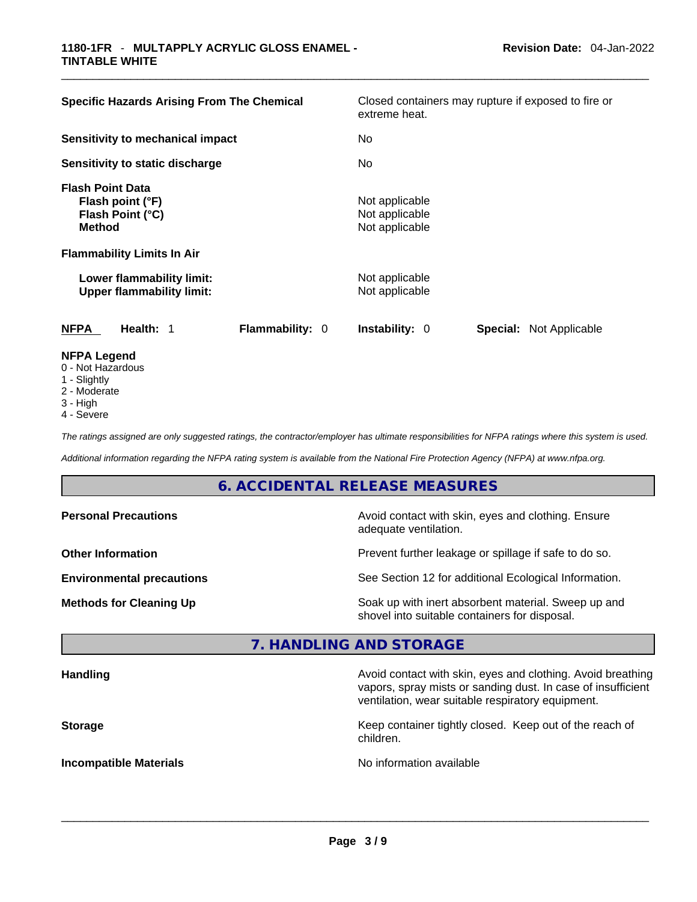| <b>Specific Hazards Arising From The Chemical</b>                                | Closed containers may rupture if exposed to fire or<br>extreme heat. |  |  |
|----------------------------------------------------------------------------------|----------------------------------------------------------------------|--|--|
| Sensitivity to mechanical impact                                                 | No.                                                                  |  |  |
| Sensitivity to static discharge                                                  | No.                                                                  |  |  |
| <b>Flash Point Data</b><br>Flash point (°F)<br>Flash Point (°C)<br><b>Method</b> | Not applicable<br>Not applicable<br>Not applicable                   |  |  |
| <b>Flammability Limits In Air</b>                                                |                                                                      |  |  |
| Lower flammability limit:<br><b>Upper flammability limit:</b>                    | Not applicable<br>Not applicable                                     |  |  |
| <b>Flammability: 0</b><br>NFPA<br>Health: 1                                      | <b>Instability: 0</b><br><b>Special: Not Applicable</b>              |  |  |
| <b>NFPA Legend</b><br>0 - Not Hazardous                                          |                                                                      |  |  |

- 1 Slightly
- 2 Moderate
- 3 High
- 4 Severe

*The ratings assigned are only suggested ratings, the contractor/employer has ultimate responsibilities for NFPA ratings where this system is used.* 

*Additional information regarding the NFPA rating system is available from the National Fire Protection Agency (NFPA) at www.nfpa.org.* 

# **6. ACCIDENTAL RELEASE MEASURES**

| <b>Personal Precautions</b>      | Avoid contact with skin, eyes and clothing. Ensure<br>adequate ventilation.                          |  |  |
|----------------------------------|------------------------------------------------------------------------------------------------------|--|--|
| <b>Other Information</b>         | Prevent further leakage or spillage if safe to do so.                                                |  |  |
| <b>Environmental precautions</b> | See Section 12 for additional Ecological Information.                                                |  |  |
| <b>Methods for Cleaning Up</b>   | Soak up with inert absorbent material. Sweep up and<br>shovel into suitable containers for disposal. |  |  |

# **7. HANDLING AND STORAGE**

| Avoid contact with skin, eyes and clothing. Avoid breathing<br>vapors, spray mists or sanding dust. In case of insufficient<br>ventilation, wear suitable respiratory equipment. |
|----------------------------------------------------------------------------------------------------------------------------------------------------------------------------------|
| Keep container tightly closed. Keep out of the reach of<br>children.                                                                                                             |
| No information available                                                                                                                                                         |
|                                                                                                                                                                                  |

 $\_$  ,  $\_$  ,  $\_$  ,  $\_$  ,  $\_$  ,  $\_$  ,  $\_$  ,  $\_$  ,  $\_$  ,  $\_$  ,  $\_$  ,  $\_$  ,  $\_$  ,  $\_$  ,  $\_$  ,  $\_$  ,  $\_$  ,  $\_$  ,  $\_$  ,  $\_$  ,  $\_$  ,  $\_$  ,  $\_$  ,  $\_$  ,  $\_$  ,  $\_$  ,  $\_$  ,  $\_$  ,  $\_$  ,  $\_$  ,  $\_$  ,  $\_$  ,  $\_$  ,  $\_$  ,  $\_$  ,  $\_$  ,  $\_$  ,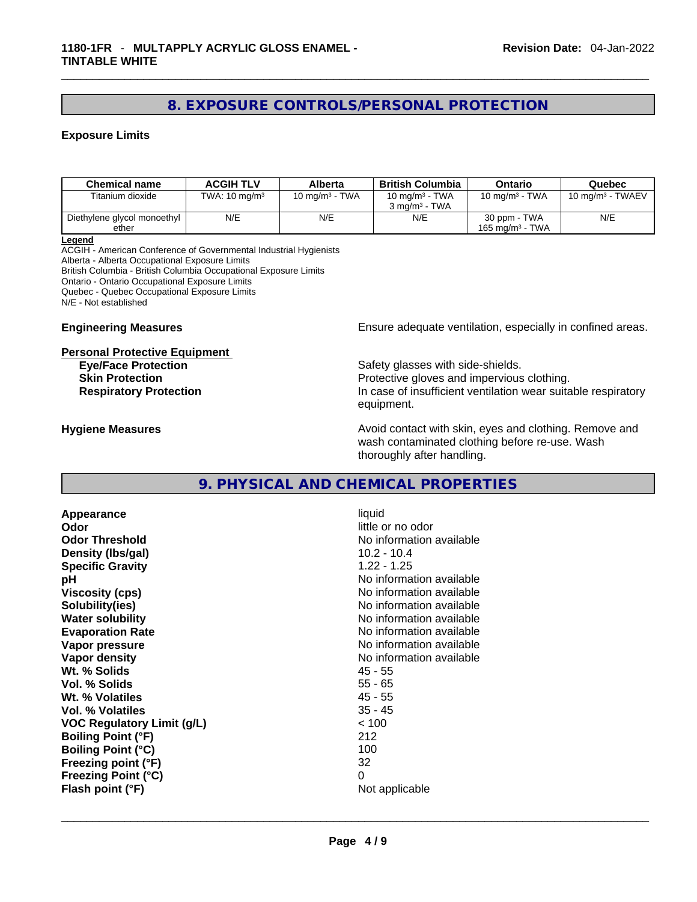# **8. EXPOSURE CONTROLS/PERSONAL PROTECTION**

# **Exposure Limits**

| <b>Chemical name</b>        | <b>ACGIH TLV</b>         | <b>Alberta</b>    | <b>British Columbia</b>  | Ontario            | Quebec              |
|-----------------------------|--------------------------|-------------------|--------------------------|--------------------|---------------------|
| Titanium dioxide            | TWA: $10 \text{ mg/m}^3$ | 10 mg/m $3$ - TWA | 10 mg/m $3$ - TWA        | 10 mg/m $3$ - TWA  | 10 mg/m $3$ - TWAEV |
|                             |                          |                   | $3 \text{ ma/m}^3$ - TWA |                    |                     |
| Diethylene glycol monoethyl | N/E                      | N/E               | N/E                      | 30 ppm - TWA       | N/E                 |
| ether                       |                          |                   |                          | 165 mg/m $3$ - TWA |                     |

**Legend**

ACGIH - American Conference of Governmental Industrial Hygienists Alberta - Alberta Occupational Exposure Limits British Columbia - British Columbia Occupational Exposure Limits Ontario - Ontario Occupational Exposure Limits Quebec - Quebec Occupational Exposure Limits N/E - Not established

#### **Personal Protective Equipment**

**Engineering Measures Ensure** Ensure adequate ventilation, especially in confined areas.

**Eye/Face Protection Safety glasses with side-shields.** Safety glasses with side-shields. **Skin Protection Protection Protective gloves and impervious clothing. Respiratory Protection In case of insufficient ventilation wear suitable respiratory** equipment.

**Hygiene Measures Avoid contact with skin, eyes and clothing. Remove and Avoid contact with skin, eyes and clothing. Remove and Avoid contact with skin, eyes and clothing. Remove and** wash contaminated clothing before re-use. Wash thoroughly after handling.

# **9. PHYSICAL AND CHEMICAL PROPERTIES**

**Appearance** liquid **Odor**<br> **Odor Threshold**<br> **Odor Threshold**<br> **CODOR**<br> **CODOR**<br> **CODOR**<br> **CODOR**<br> **CODOR**<br> **CODOR**<br> **CODOR**<br> **CODOR**<br> **CODOR Density (lbs/gal)** 10.2 - 10.4 **Specific Gravity** 1.22 - 1.25 **pH bH** *pH* **Viscosity (cps) No information available No information available Solubility(ies)** No information available **Water solubility No information available No information available Evaporation Rate Note 2008 No information available Vapor pressure No information available No information available Vapor density No information available No** information available **Wt. % Solids** 45 - 55 **Vol. % Solids** 55 - 65 **Wt. % Volatiles Vol. % Volatiles** 35 - 45 **VOC Regulatory Limit (g/L)** < 100 **Boiling Point (°F)** 212 **Boiling Point (°C)** 100 **Freezing point (°F)** 32 **Freezing Point (°C)** 0

**No information available Flash point (°F)** Not applicable \_\_\_\_\_\_\_\_\_\_\_\_\_\_\_\_\_\_\_\_\_\_\_\_\_\_\_\_\_\_\_\_\_\_\_\_\_\_\_\_\_\_\_\_\_\_\_\_\_\_\_\_\_\_\_\_\_\_\_\_\_\_\_\_\_\_\_\_\_\_\_\_\_\_\_\_\_\_\_\_\_\_\_\_\_\_\_\_\_\_\_\_\_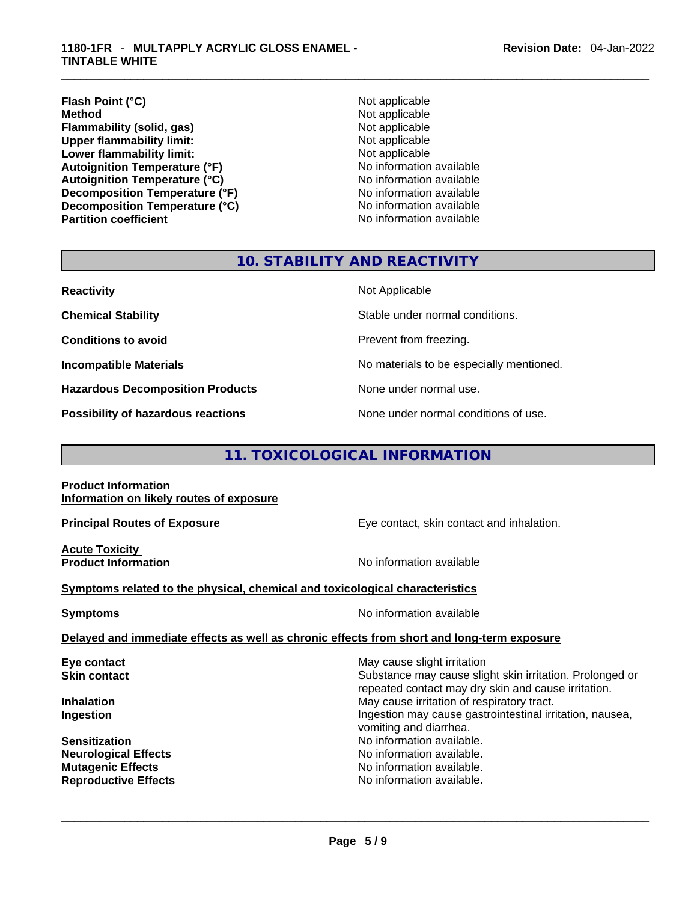# **Flash Point (°C)** Not applicable **Method Not applicable**<br> **Plammability (solid, gas)** Not applicable Not applicable **Flammability (solid, gas)** Not applicable<br> **Upper flammability limit:** Not applicable<br>
Not applicable **Upper flammability limit: Lower flammability limit:**<br> **Autoignition Temperature (°F)** Not applicable Not applicable available **Autoignition Temperature (°F)**<br> **Autoignition Temperature (°C)** No information available **Autoignition Temperature (°C) Decomposition Temperature (°F)**<br> **Decomposition Temperature (°C)** No information available **Decomposition Temperature (°C)**<br>Partition coefficient

**No information available** 

# **10. STABILITY AND REACTIVITY**

| <b>Reactivity</b>                         | Not Applicable                           |
|-------------------------------------------|------------------------------------------|
| <b>Chemical Stability</b>                 | Stable under normal conditions.          |
| <b>Conditions to avoid</b>                | Prevent from freezing.                   |
| <b>Incompatible Materials</b>             | No materials to be especially mentioned. |
| <b>Hazardous Decomposition Products</b>   | None under normal use.                   |
| <b>Possibility of hazardous reactions</b> | None under normal conditions of use.     |

# **11. TOXICOLOGICAL INFORMATION**

#### **Product Information Information on likely routes of exposure**

**Acute Toxicity** 

**Principal Routes of Exposure Exposure** Eye contact, skin contact and inhalation.

**Product Information Information No information available** 

# **<u>Symptoms related to the physical, chemical and toxicological characteristics</u>**

**Symptoms Symptoms No information available** 

# **Delayed and immediate effects as well as chronic effects from short and long-term exposure**

| Eye contact                 | May cause slight irritation                                                                                     |
|-----------------------------|-----------------------------------------------------------------------------------------------------------------|
| <b>Skin contact</b>         | Substance may cause slight skin irritation. Prolonged or<br>repeated contact may dry skin and cause irritation. |
| <b>Inhalation</b>           | May cause irritation of respiratory tract.                                                                      |
| Ingestion                   | Ingestion may cause gastrointestinal irritation, nausea,<br>vomiting and diarrhea.                              |
| <b>Sensitization</b>        | No information available.                                                                                       |
| <b>Neurological Effects</b> | No information available.                                                                                       |
| <b>Mutagenic Effects</b>    | No information available.                                                                                       |
| <b>Reproductive Effects</b> | No information available.                                                                                       |
|                             |                                                                                                                 |
|                             |                                                                                                                 |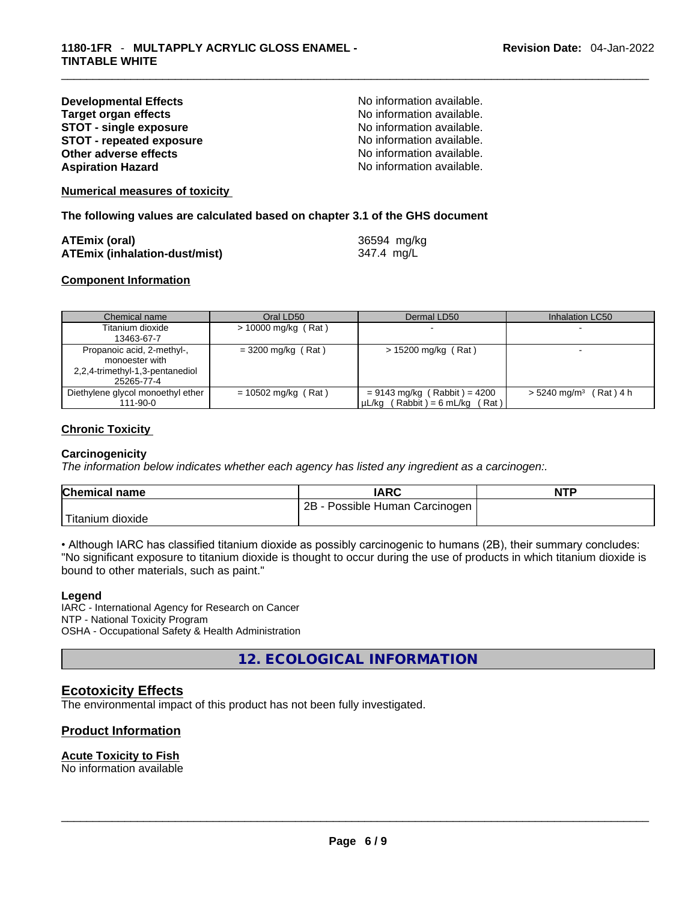| <b>Developmental Effects</b>    |  |
|---------------------------------|--|
| <b>Target organ effects</b>     |  |
| <b>STOT - single exposure</b>   |  |
| <b>STOT - repeated exposure</b> |  |
| Other adverse effects           |  |
| <b>Aspiration Hazard</b>        |  |

No information available. **No information available. STOT - single exposure** No information available. **STOT - repeated exposure** No information available. No information available. No information available.

# **Numerical measures of toxicity**

**The following values are calculated based on chapter 3.1 of the GHS document**

| <b>ATEmix (oral)</b>                 | 36594 mg/kg |
|--------------------------------------|-------------|
| <b>ATEmix (inhalation-dust/mist)</b> | 347.4 mg/L  |

# **Component Information**

| Chemical name                                 | Oral LD50             | Dermal LD50                                                           | Inhalation LC50                      |
|-----------------------------------------------|-----------------------|-----------------------------------------------------------------------|--------------------------------------|
| Titanium dioxide                              | $> 10000$ mg/kg (Rat) |                                                                       |                                      |
| 13463-67-7                                    |                       |                                                                       |                                      |
| Propanoic acid, 2-methyl-,<br>monoester with  | $=$ 3200 mg/kg (Rat)  | $> 15200$ mg/kg (Rat)                                                 |                                      |
| 2,2,4-trimethyl-1,3-pentanediol<br>25265-77-4 |                       |                                                                       |                                      |
| Diethylene glycol monoethyl ether<br>111-90-0 | $= 10502$ mg/kg (Rat) | $= 9143$ mg/kg (Rabbit) = 4200<br>$\mu L/kg$ (Rabbit) = 6 mL/kg (Rat) | $> 5240$ mg/m <sup>3</sup> (Rat) 4 h |

# **Chronic Toxicity**

# **Carcinogenicity**

*The information below indicates whether each agency has listed any ingredient as a carcinogen:.* 

| <b>Chemical name</b> | <b>IARC</b>                             | <b>NTP</b> |
|----------------------|-----------------------------------------|------------|
|                      | - Possible Human Carcinogen  <br>$2B -$ |            |
| Titanium dioxide     |                                         |            |

• Although IARC has classified titanium dioxide as possibly carcinogenic to humans (2B), their summary concludes: "No significant exposure to titanium dioxide is thought to occur during the use of products in which titanium dioxide is bound to other materials, such as paint."

# **Legend**

IARC - International Agency for Research on Cancer NTP - National Toxicity Program OSHA - Occupational Safety & Health Administration

**12. ECOLOGICAL INFORMATION** 

# **Ecotoxicity Effects**

The environmental impact of this product has not been fully investigated.

# **Product Information**

# **Acute Toxicity to Fish**

No information available \_\_\_\_\_\_\_\_\_\_\_\_\_\_\_\_\_\_\_\_\_\_\_\_\_\_\_\_\_\_\_\_\_\_\_\_\_\_\_\_\_\_\_\_\_\_\_\_\_\_\_\_\_\_\_\_\_\_\_\_\_\_\_\_\_\_\_\_\_\_\_\_\_\_\_\_\_\_\_\_\_\_\_\_\_\_\_\_\_\_\_\_\_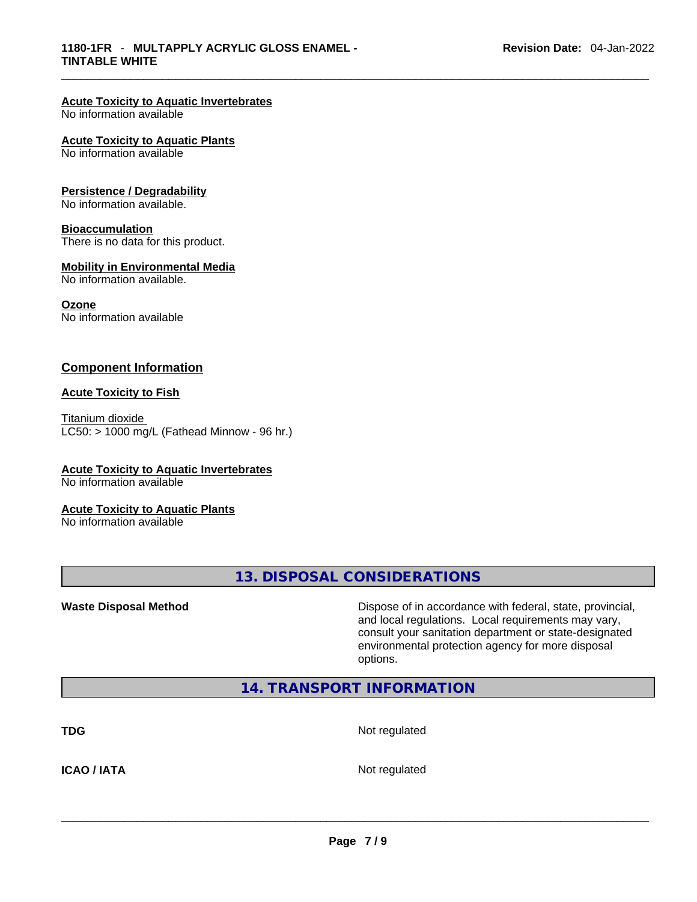# **Acute Toxicity to Aquatic Invertebrates**

No information available

#### **Acute Toxicity to Aquatic Plants**

No information available

#### **Persistence / Degradability**

No information available.

#### **Bioaccumulation**

There is no data for this product.

#### **Mobility in Environmental Media**

No information available.

#### **Ozone**

No information available

# **Component Information**

#### **Acute Toxicity to Fish**

Titanium dioxide  $LC50:$  > 1000 mg/L (Fathead Minnow - 96 hr.)

# **Acute Toxicity to Aquatic Invertebrates**

No information available

#### **Acute Toxicity to Aquatic Plants**

No information available

**13. DISPOSAL CONSIDERATIONS** 

**Waste Disposal Method** Dispose of in accordance with federal, state, provincial, and local regulations. Local requirements may vary, consult your sanitation department or state-designated environmental protection agency for more disposal options.

# **14. TRANSPORT INFORMATION**

**TDG** Not regulated

**ICAO / IATA** Not regulated \_\_\_\_\_\_\_\_\_\_\_\_\_\_\_\_\_\_\_\_\_\_\_\_\_\_\_\_\_\_\_\_\_\_\_\_\_\_\_\_\_\_\_\_\_\_\_\_\_\_\_\_\_\_\_\_\_\_\_\_\_\_\_\_\_\_\_\_\_\_\_\_\_\_\_\_\_\_\_\_\_\_\_\_\_\_\_\_\_\_\_\_\_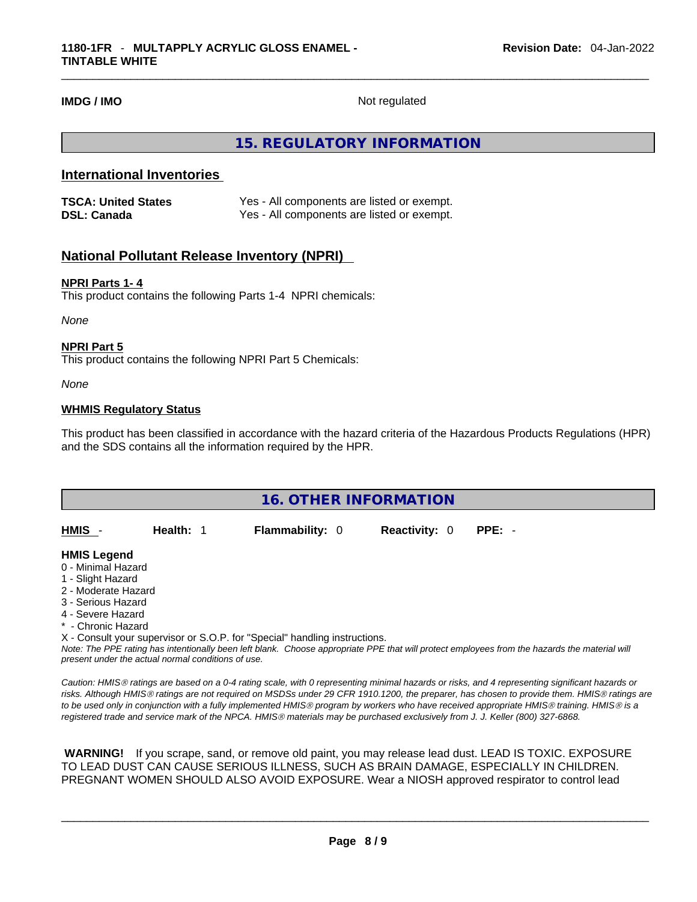**IMDG / IMO** Not regulated

# **15. REGULATORY INFORMATION**

# **International Inventories**

| <b>TSCA: United States</b> | Yes - All components are listed or exempt. |
|----------------------------|--------------------------------------------|
| <b>DSL: Canada</b>         | Yes - All components are listed or exempt. |

# **National Pollutant Release Inventory (NPRI)**

# **NPRI Parts 1- 4**

This product contains the following Parts 1-4 NPRI chemicals:

*None*

#### **NPRI Part 5**

This product contains the following NPRI Part 5 Chemicals:

*None*

# **WHMIS Regulatory Status**

This product has been classified in accordance with the hazard criteria of the Hazardous Products Regulations (HPR) and the SDS contains all the information required by the HPR.

| <b>16. OTHER INFORMATION</b> |           |                                                                            |                      |                                                                                                                                               |  |  |
|------------------------------|-----------|----------------------------------------------------------------------------|----------------------|-----------------------------------------------------------------------------------------------------------------------------------------------|--|--|
|                              |           |                                                                            |                      |                                                                                                                                               |  |  |
| HMIS -                       | Health: 1 | <b>Flammability: 0</b>                                                     | <b>Reactivity: 0</b> | $PPE: -$                                                                                                                                      |  |  |
|                              |           |                                                                            |                      |                                                                                                                                               |  |  |
| <b>HMIS Legend</b>           |           |                                                                            |                      |                                                                                                                                               |  |  |
| 0 - Minimal Hazard           |           |                                                                            |                      |                                                                                                                                               |  |  |
| 1 - Slight Hazard            |           |                                                                            |                      |                                                                                                                                               |  |  |
| 2 - Moderate Hazard          |           |                                                                            |                      |                                                                                                                                               |  |  |
| 3 - Serious Hazard           |           |                                                                            |                      |                                                                                                                                               |  |  |
| 4 - Severe Hazard            |           |                                                                            |                      |                                                                                                                                               |  |  |
| * - Chronic Hazard           |           |                                                                            |                      |                                                                                                                                               |  |  |
|                              |           | X - Consult your supervisor or S.O.P. for "Special" handling instructions. |                      |                                                                                                                                               |  |  |
|                              |           |                                                                            |                      | Note: The PPE rating has intentionally been left blank. Choose appropriate PPE that will protect employees from the hazards the material will |  |  |

*present under the actual normal conditions of use.* 

*Caution: HMISÒ ratings are based on a 0-4 rating scale, with 0 representing minimal hazards or risks, and 4 representing significant hazards or risks. Although HMISÒ ratings are not required on MSDSs under 29 CFR 1910.1200, the preparer, has chosen to provide them. HMISÒ ratings are to be used only in conjunction with a fully implemented HMISÒ program by workers who have received appropriate HMISÒ training. HMISÒ is a registered trade and service mark of the NPCA. HMISÒ materials may be purchased exclusively from J. J. Keller (800) 327-6868.* 

 **WARNING!** If you scrape, sand, or remove old paint, you may release lead dust. LEAD IS TOXIC. EXPOSURE TO LEAD DUST CAN CAUSE SERIOUS ILLNESS, SUCH AS BRAIN DAMAGE, ESPECIALLY IN CHILDREN. PREGNANT WOMEN SHOULD ALSO AVOID EXPOSURE.Wear a NIOSH approved respirator to control lead

 $\_$  ,  $\_$  ,  $\_$  ,  $\_$  ,  $\_$  ,  $\_$  ,  $\_$  ,  $\_$  ,  $\_$  ,  $\_$  ,  $\_$  ,  $\_$  ,  $\_$  ,  $\_$  ,  $\_$  ,  $\_$  ,  $\_$  ,  $\_$  ,  $\_$  ,  $\_$  ,  $\_$  ,  $\_$  ,  $\_$  ,  $\_$  ,  $\_$  ,  $\_$  ,  $\_$  ,  $\_$  ,  $\_$  ,  $\_$  ,  $\_$  ,  $\_$  ,  $\_$  ,  $\_$  ,  $\_$  ,  $\_$  ,  $\_$  ,